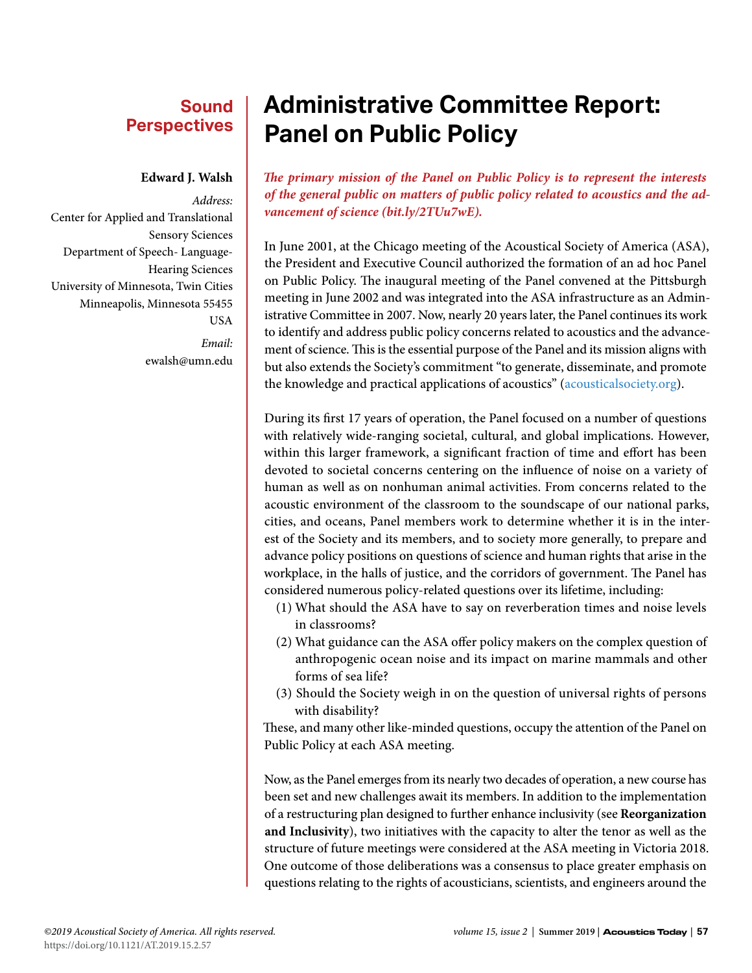## **Sound Perspectives**

#### **Edward J. Walsh**

*Address:* Center for Applied and Translational Sensory Sciences Department of Speech- Language-Hearing Sciences University of Minnesota, Twin Cities Minneapolis, Minnesota 55455 USA *Email:* ewalsh@umn.edu

# **Administrative Committee Report: Panel on Public Policy**

*The primary mission of the Panel on Public Policy is to represent the interests of the general public on matters of public policy related to acoustics and the advancement of science ([bit.ly/2TUu7wE](http://bit.ly/2TUu7wE)).*

In June 2001, at the Chicago meeting of the Acoustical Society of America (ASA), the President and Executive Council authorized the formation of an ad hoc Panel on Public Policy. The inaugural meeting of the Panel convened at the Pittsburgh meeting in June 2002 and was integrated into the ASA infrastructure as an Administrative Committee in 2007. Now, nearly 20 years later, the Panel continues its work to identify and address public policy concerns related to acoustics and the advancement of science. This is the essential purpose of the Panel and its mission aligns with but also extends the Society's commitment "to generate, disseminate, and promote the knowledge and practical applications of acoustics" ([acousticalsociety.org](http://acousticalsociety.org)).

During its first 17 years of operation, the Panel focused on a number of questions with relatively wide-ranging societal, cultural, and global implications. However, within this larger framework, a significant fraction of time and effort has been devoted to societal concerns centering on the influence of noise on a variety of human as well as on nonhuman animal activities. From concerns related to the acoustic environment of the classroom to the soundscape of our national parks, cities, and oceans, Panel members work to determine whether it is in the interest of the Society and its members, and to society more generally, to prepare and advance policy positions on questions of science and human rights that arise in the workplace, in the halls of justice, and the corridors of government. The Panel has considered numerous policy-related questions over its lifetime, including:

- (1) What should the ASA have to say on reverberation times and noise levels in classrooms?
- (2) What guidance can the ASA offer policy makers on the complex question of anthropogenic ocean noise and its impact on marine mammals and other forms of sea life?
- (3) Should the Society weigh in on the question of universal rights of persons with disability?

These, and many other like-minded questions, occupy the attention of the Panel on Public Policy at each ASA meeting.

Now, as the Panel emerges from its nearly two decades of operation, a new course has been set and new challenges await its members. In addition to the implementation of a restructuring plan designed to further enhance inclusivity (see **Reorganization and Inclusivity**), two initiatives with the capacity to alter the tenor as well as the structure of future meetings were considered at the ASA meeting in Victoria 2018. One outcome of those deliberations was a consensus to place greater emphasis on questions relating to the rights of acousticians, scientists, and engineers around the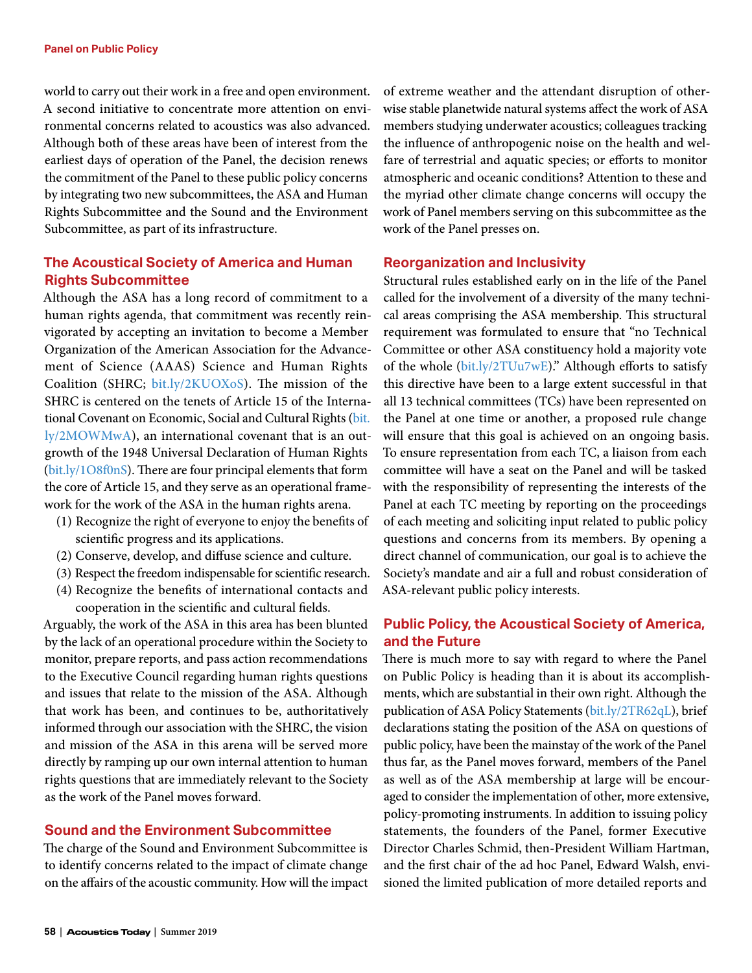world to carry out their work in a free and open environment. A second initiative to concentrate more attention on environmental concerns related to acoustics was also advanced. Although both of these areas have been of interest from the earliest days of operation of the Panel, the decision renews the commitment of the Panel to these public policy concerns by integrating two new subcommittees, the ASA and Human Rights Subcommittee and the Sound and the Environment Subcommittee, as part of its infrastructure.

## **The Acoustical Society of America and Human Rights Subcommittee**

Although the ASA has a long record of commitment to a human rights agenda, that commitment was recently reinvigorated by accepting an invitation to become a Member Organization of the American Association for the Advancement of Science (AAAS) Science and Human Rights Coalition (SHRC; [bit.ly/2KUOXoS\)](http://bit.ly/2KUOXoS). The mission of the SHRC is centered on the tenets of Article 15 of the International Covenant on Economic, Social and Cultural Rights ([bit.](http://bit.ly/2MOWMwA) [ly/2MOWMwA](http://bit.ly/2MOWMwA)), an international covenant that is an outgrowth of the 1948 Universal Declaration of Human Rights [\(bit.ly/1O8f0nS\)](http://bit.ly/1O8f0nS). There are four principal elements that form the core of Article 15, and they serve as an operational framework for the work of the ASA in the human rights arena.

- (1) Recognize the right of everyone to enjoy the benefits of scientific progress and its applications.
- (2) Conserve, develop, and diffuse science and culture.
- (3) Respect the freedom indispensable for scientific research.
- (4) Recognize the benefits of international contacts and cooperation in the scientific and cultural fields.

Arguably, the work of the ASA in this area has been blunted by the lack of an operational procedure within the Society to monitor, prepare reports, and pass action recommendations to the Executive Council regarding human rights questions and issues that relate to the mission of the ASA. Although that work has been, and continues to be, authoritatively informed through our association with the SHRC, the vision and mission of the ASA in this arena will be served more directly by ramping up our own internal attention to human rights questions that are immediately relevant to the Society as the work of the Panel moves forward.

## **Sound and the Environment Subcommittee**

The charge of the Sound and Environment Subcommittee is to identify concerns related to the impact of climate change on the affairs of the acoustic community. How will the impact

of extreme weather and the attendant disruption of otherwise stable planetwide natural systems affect the work of ASA members studying underwater acoustics; colleagues tracking the influence of anthropogenic noise on the health and welfare of terrestrial and aquatic species; or efforts to monitor atmospheric and oceanic conditions? Attention to these and the myriad other climate change concerns will occupy the work of Panel members serving on this subcommittee as the work of the Panel presses on.

#### **Reorganization and Inclusivity**

Structural rules established early on in the life of the Panel called for the involvement of a diversity of the many technical areas comprising the ASA membership. This structural requirement was formulated to ensure that "no Technical Committee or other ASA constituency hold a majority vote of the whole ([bit.ly/2TUu7wE](http://bit.ly/2TUu7wE))." Although efforts to satisfy this directive have been to a large extent successful in that all 13 technical committees (TCs) have been represented on the Panel at one time or another, a proposed rule change will ensure that this goal is achieved on an ongoing basis. To ensure representation from each TC, a liaison from each committee will have a seat on the Panel and will be tasked with the responsibility of representing the interests of the Panel at each TC meeting by reporting on the proceedings of each meeting and soliciting input related to public policy questions and concerns from its members. By opening a direct channel of communication, our goal is to achieve the Society's mandate and air a full and robust consideration of ASA-relevant public policy interests.

## **Public Policy, the Acoustical Society of America, and the Future**

There is much more to say with regard to where the Panel on Public Policy is heading than it is about its accomplishments, which are substantial in their own right. Although the publication of ASA Policy Statements [\(bit.ly/2TR62qL\)](http://bit.ly/2TR62qL), brief declarations stating the position of the ASA on questions of public policy, have been the mainstay of the work of the Panel thus far, as the Panel moves forward, members of the Panel as well as of the ASA membership at large will be encouraged to consider the implementation of other, more extensive, policy-promoting instruments. In addition to issuing policy statements, the founders of the Panel, former Executive Director Charles Schmid, then-President William Hartman, and the first chair of the ad hoc Panel, Edward Walsh, envisioned the limited publication of more detailed reports and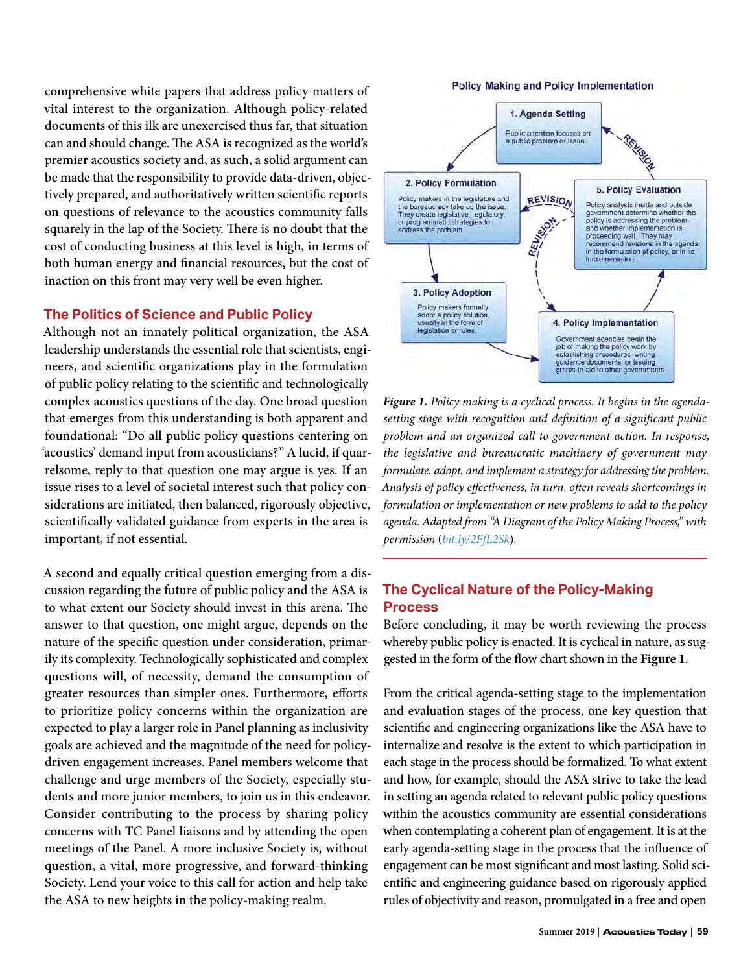comprehensive white papers that address policy matters of vital interest to the organization. Although policy-related documents of this ilk are unexercised thus far, that situation can and should change. The ASA is recognized as the world's premier acoustics society and, as such, a solid argument can be made that the responsibility to provide data-driven, objectively prepared, and authoritatively written scientific reports on questions of relevance to the acoustics community falls squarely in the lap of the Society. There is no doubt that the cost of conducting business at this level is high, in terms of both human energy and financial resources, but the cost of inaction on this front may very well be even higher.

#### **The Politics of Science and Public Policy**

Although not an innately political organization, the ASA leadership understands the essential role that scientists, engineers, and scientific organizations play in the formulation of public policy relating to the scientific and technologically complex acoustics questions of the day. One broad question that emerges from this understanding is both apparent and foundational: "Do all public policy questions centering on 'acoustics' demand input from acousticians?" A lucid, if quarrelsome, reply to that question one may argue is yes. If an issue rises to a level of societal interest such that policy considerations are initiated, then balanced, rigorously objective, scientifically validated guidance from experts in the area is important, if not essential.

A second and equally critical question emerging from a discussion regarding the future of public policy and the ASA is to what extent our Society should invest in this arena. The answer to that question, one might argue, depends on the nature of the specific question under consideration, primarily its complexity. Technologically sophisticated and complex questions will, of necessity, demand the consumption of greater resources than simpler ones. Furthermore, efforts to prioritize policy concerns within the organization are expected to play a larger role in Panel planning as inclusivity goals are achieved and the magnitude of the need for policydriven engagement increases. Panel members welcome that challenge and urge members of the Society, especially students and more junior members, to join us in this endeavor. Consider contributing to the process by sharing policy concerns with TC Panel liaisons and by attending the open meetings of the Panel. A more inclusive Society is, without question, a vital, more progressive, and forward-thinking Society. Lend your voice to this call for action and help take the ASA to new heights in the policy-making realm.



*Figure 1. Policy making is a cyclical process. It begins in the agendasetting stage with recognition and definition of a significant public problem and an organized call to government action. In response, the legislative and bureaucratic machinery of government may formulate, adopt, and implement a strategy for addressing the problem. Analysis of policy effectiveness, in turn, often reveals shortcomings in formulation or implementation or new problems to add to the policy agenda. Adapted from "A Diagram of the Policy Making Process," with permission* (*[bit.ly/2FfL2Sk](http://bit.ly/2FfL2Sk)*)*.*

### **The Cyclical Nature of the Policy-Making Process**

Before concluding, it may be worth reviewing the process whereby public policy is enacted. It is cyclical in nature, as suggested in the form of the flow chart shown in the **Figure 1**.

From the critical agenda-setting stage to the implementation and evaluation stages of the process, one key question that scientific and engineering organizations like the ASA have to internalize and resolve is the extent to which participation in each stage in the process should be formalized. To what extent and how, for example, should the ASA strive to take the lead in setting an agenda related to relevant public policy questions within the acoustics community are essential considerations when contemplating a coherent plan of engagement. It is at the early agenda-setting stage in the process that the influence of engagement can be most significant and most lasting. Solid scientific and engineering guidance based on rigorously applied rules of objectivity and reason, promulgated in a free and open